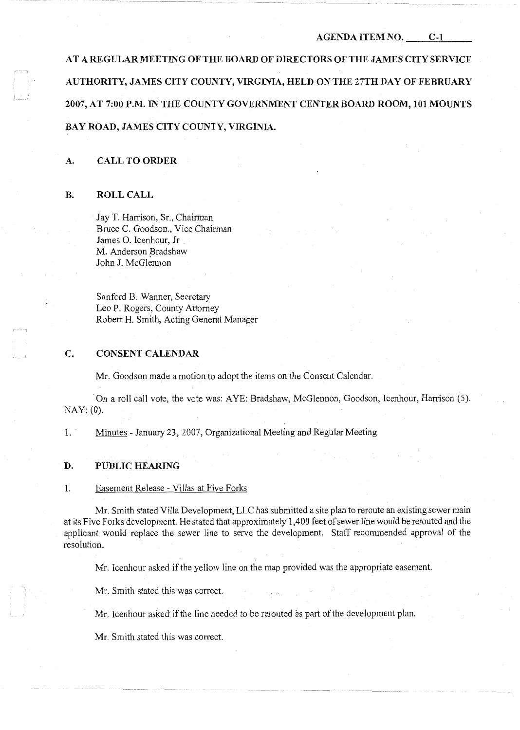#### **AGENDA ITEM NO. C-1**

**AT A REGULAR MEETING OF THE BOARD OF DIRECTORS OF THE JAMES CITY SERVICE AUTHORITY, JAMES CITY COUNTY, VIRGINIA, HELD ON THE 27TH DAY OF FEBRUARY 2007, AT 7:00 P.M. IN THE COUNTY GOVERNMENT CENTER BOARD ROOM, 101 MOUNTS BAY ROAD, JAMES CITY COUNTY, VIRGINIA.** 

#### **A. CALL TO ORDER**

#### **B. ROLL CALL**

l. \_\_ \_

Jay T. Harrison, Sr., Chairman Bruce C. Goodson., Vice Chairman James 0. Icenhour, Jr M. Anderson Bradshaw John I. McGlennon

Sanford B. Wanner, Secretary Leo P. Rogers, County Attorney Robert H. Smith, Acting General Manager

## **C. CONSENT CALENDAR**

Mr. Goodson made a motion to adopt the items on the Consent Calendar.

On a roll call vote, the vote was: AYE: Bradshaw, McGlennon, Goodson, Icenhour, Harrison (5). NAY: (0).

1. Minutes - January 23, 2007, Organizational Meeting and Regular Meeting

#### **D. PUBLIC HEARING**

1. Easement Release - Villas at Five Forks

Mr. Smith stated Villa Development, LLC has submitted a site plan to reroute an existing sewer main at its Five Forks development. He stated that approximately 1,400 feet of sewer line would be rerouted and the applicant would replace the sewer line to serve the development. Staff recommended approval of the resolution.

Mr. Icenhour asked if the yellow line on the map provided was the appropriate easement.

Mr. Smith stated this was correct.

Mr. Icenhour asked ifthe line needed to be rerouted as part of the development plan.

Mr. Smith stated this was correct.